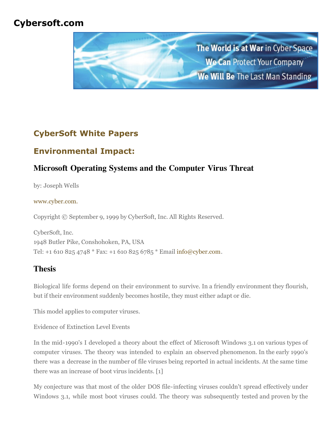## **Cybersoft.com**



# **CyberSoft White Papers**

## **Environmental Impact:**

## **Microsoft Operating Systems and the Computer Virus Threat**

by: Joseph Wells

#### [www.cyber.com.](http://www.cyber.com/)

Copyright © September 9, 1999 by CyberSoft, Inc. All Rights Reserved.

CyberSoft, Inc. 1948 Butler Pike, Conshohoken, PA, USA Tel: +1 610 825 4748 \* Fax: +1 610 825 6785 \* Email [info@cyber.com.](mailto:info@cyber.com)

### **Thesis**

Biological life forms depend on their environment to survive. In a friendly environment they flourish, but if their environment suddenly becomes hostile, they must either adapt or die.

This model applies to computer viruses.

Evidence of Extinction Level Events

In the mid-1990's I developed a theory about the effect of Microsoft Windows 3.1 on various types of computer viruses. The theory was intended to explain an observed phenomenon. In the early 1990's there was a decrease in the number of file viruses being reported in actual incidents. At the same time there was an increase of boot virus incidents. [1]

My conjecture was that most of the older DOS file-infecting viruses couldn't spread effectively under Windows 3.1, while most boot viruses could. The theory was subsequently tested and proven by the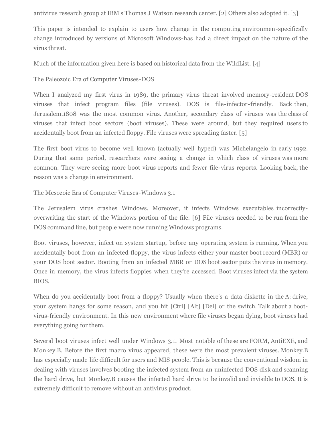antivirus research group at IBM's Thomas J Watson research center. [2] Others also adopted it. [3]

This paper is intended to explain to users how change in the computing environmen-specifically change introduced by versions of Microsoft Windows-has had a direct impact on the nature of the virus threat.

Much of the information given here is based on historical data from the WildList. [4]

The Paleozoic Era of Computer Viruses-DOS

When I analyzed my first virus in 1989, the primary virus threat involved memory-resident DOS viruses that infect program files (file viruses). DOS is file-infector-friendly. Back then, Jerusalem.1808 was the most common virus. Another, secondary class of viruses was the class of viruses that infect boot sectors (boot viruses). These were around, but they required users to accidentally boot from an infected floppy. File viruses were spreading faster. [5]

The first boot virus to become well known (actually well hyped) was Michelangelo in early 1992. During that same period, researchers were seeing a change in which class of viruses was more common. They were seeing more boot virus reports and fewer file-virus reports. Looking back, the reason was a change in environment.

The Mesozoic Era of Computer Viruses-Windows 3.1

The Jerusalem virus crashes Windows. Moreover, it infects Windows executables incorrectlyoverwriting the start of the Windows portion of the file. [6] File viruses needed to be run from the DOS command line, but people were now running Windows programs.

Boot viruses, however, infect on system startup, before any operating system is running. When you accidentally boot from an infected floppy, the virus infects either your master boot record (MBR) or your DOS boot sector. Booting from an infected MBR or DOS boot sector puts the virus in memory. Once in memory, the virus infects floppies when they're accessed. Boot viruses infect via the system BIOS.

When do you accidentally boot from a floppy? Usually when there's a data diskette in the A: drive, your system hangs for some reason, and you hit [Ctrl] [Alt] [Del] or the switch. Talk about a bootvirus-friendly environment. In this new environment where file viruses began dying, boot viruses had everything going for them.

Several boot viruses infect well under Windows 3.1. Most notable of these are FORM, AntiEXE, and Monkey.B. Before the first macro virus appeared, these were the most prevalent viruses. Monkey.B has especially made life difficult for users and MIS people. This is because the conventional wisdom in dealing with viruses involves booting the infected system from an uninfected DOS disk and scanning the hard drive, but Monkey.B causes the infected hard drive to be invalid and invisible to DOS. It is extremely difficult to remove without an antivirus product.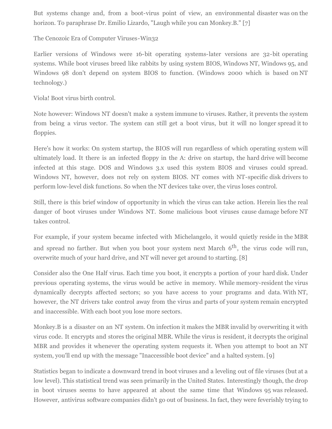But systems change and, from a boot-virus point of view, an environmental disaster was on the horizon. To paraphrase Dr. Emilio Lizardo, "Laugh while you can Monkey.B." [7]

The Cenozoic Era of Computer Viruses-Win32

Earlier versions of Windows were 16-bit operating systems-later versions are 32-bit operating systems. While boot viruses breed like rabbits by using system BIOS, Windows NT, Windows 95, and Windows 98 don't depend on system BIOS to function. (Windows 2000 which is based on NT technology.)

Viola! Boot virus birth control.

Note however: Windows NT doesn't make a system immune to viruses. Rather, it prevents the system from being a virus vector. The system can still get a boot virus, but it will no longer spread it to floppies.

Here's how it works: On system startup, the BIOS will run regardless of which operating system will ultimately load. It there is an infected floppy in the A: drive on startup, the hard drive will become infected at this stage. DOS and Windows 3.x used this system BIOS and viruses could spread. Windows NT, however, does not rely on system BIOS. NT comes with NT-specific disk drivers to perform low-level disk functions. So when the NT devices take over, the virus loses control.

Still, there is this brief window of opportunity in which the virus can take action. Herein lies the real danger of boot viruses under Windows NT. Some malicious boot viruses cause damage before NT takes control.

For example, if your system became infected with Michelangelo, it would quietly reside in the MBR and spread no farther. But when you boot your system next March  $6<sup>th</sup>$ , the virus code will run, overwrite much of your hard drive, and NT will never get around to starting. [8]

Consider also the One Half virus. Each time you boot, it encrypts a portion of your hard disk. Under previous operating systems, the virus would be active in memory. While memory-resident the virus dynamically decrypts affected sectors; so you have access to your programs and data. With NT, however, the NT drivers take control away from the virus and parts of your system remain encrypted and inaccessible. With each boot you lose more sectors.

Monkey.B is a disaster on an NT system. On infection it makes the MBR invalid by overwriting it with virus code. It encrypts and stores the original MBR. While the virus is resident, it decrypts the original MBR and provides it whenever the operating system requests it. When you attempt to boot an NT system, you'll end up with the message "Inaccessible boot device" and a halted system. [9]

Statistics began to indicate a downward trend in boot viruses and a leveling out of file viruses (but at a low level). This statistical trend was seen primarily in the United States. Interestingly though, the drop in boot viruses seems to have appeared at about the same time that Windows 95 was released. However, antivirus software companies didn't go out of business. In fact, they were feverishly trying to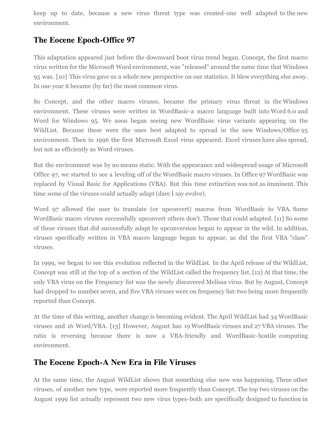keep up to date, because a new virus threat type was created-one well adapted to the new environment.

## **The Eocene Epoch-Office 97**

This adaptation appeared just before the downward boot virus trend began. Concept, the first macro virus written for the Microsoft Word environment, was "released" around the same time that Windows 95 was. [10] This virus gave us a whole new perspective on our statistics. It blew everything else away. In one year it became (by far) the most common virus.

So Concept, and the other macro viruses, became the primary virus threat in the Windows environment. These viruses were written in WordBasic-a macro language built into Word 6.0 and Word for Windows 95. We soon began seeing new WordBasic virus variants appearing on the WildList. Because these were the ones best adapted to spread in the new Windows/Office 95 environment. Then in 1996 the first Microsoft Excel virus appeared. Excel viruses have also spread, but not as efficiently as Word viruses.

But the environment was by no means static. With the appearance and widespread usage of Microsoft Office 97, we started to see a leveling off of the WordBasic macro viruses. In Office 97 WordBasic was replaced by Visual Basic for Applications (VBA). But this time extinction was not as imminent. This time some of the viruses could actually adapt (dare I say evolve).

Word 97 allowed the user to translate (or upconvert) macros from WordBasic to VBA. Some WordBasic macro viruses successfully upconvert others don't. Those that could adapted. [11] So some of these viruses that did successfully adapt by upconversion began to appear in the wild. In addition, viruses specifically written in VBA macro language began to appear, as did the first VBA "class" viruses.

In 1999, we began to see this evolution reflected in the WildList. In the April release of the WildList, Concept was still at the top of a section of the WildList called the frequency list. [12] At that time, the only VBA virus on the Frequency list was the newly discovered Melissa virus. But by August, Concept had dropped to number seven, and five VBA viruses were on frequency list-two being more frequently reported than Concept.

At the time of this writing, another change is becoming evident. The April WildList had 34 WordBasic viruses and 16 Word/VBA. [13] However, August has 19 WordBasic viruses and 27 VBA viruses. The ratio is reversing because there is now a VBA-friendly and WordBasic-hostile computing environment.

### **The Eocene Epoch-A New Era in File Viruses**

At the same time, the August WildList shows that something else new was happening. Three other viruses, of another new type, were reported more frequently than Concept. The top two viruses on the August 1999 list actually represent two new virus types-both are specifically designed to function in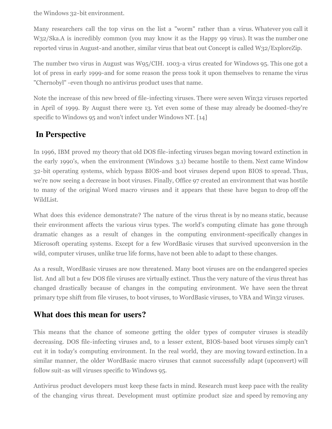the Windows 32-bit environment.

Many researchers call the top virus on the list a "worm" rather than a virus. Whatever you call it W32/Ska.A is incredibly common (you may know it as the Happy 99 virus). It was the number one reported virus in August-and another, similar virus that beat out Concept is called W32/ExploreZip.

The number two virus in August was W95/CIH. 1003-a virus created for Windows 95. This one got a lot of press in early 1999-and for some reason the press took it upon themselves to rename the virus "Chernobyl" -even though no antivirus product uses that name.

Note the increase of this new breed of file-infecting viruses. There were seven Win32 viruses reported in April of 1999. By August there were 13. Yet even some of these may already be doomed-they're specific to Windows 95 and won't infect under Windows NT. [14]

## **In Perspective**

In 1996, IBM proved my theory that old DOS file-infecting viruses began moving toward extinction in the early 1990's, when the environment (Windows 3.1) became hostile to them. Next came Window 32-bit operating systems, which bypass BIOS-and boot viruses depend upon BIOS to spread. Thus, we're now seeing a decrease in boot viruses. Finally, Office 97 created an environment that was hostile to many of the original Word macro viruses and it appears that these have begun to drop off the WildList.

What does this evidence demonstrate? The nature of the virus threat is by no means static, because their environment affects the various virus types. The world's computing climate has gone through dramatic changes as a result of changes in the computing environment-specifically changes in Microsoft operating systems. Except for a few WordBasic viruses that survived upconversion in the wild, computer viruses, unlike true life forms, have not been able to adapt to these changes.

As a result, WordBasic viruses are now threatened. Many boot viruses are on the endangered species list. And all but a few DOS file viruses are virtually extinct. Thus the very nature of the virus threat has changed drastically because of changes in the computing environment. We have seen the threat primary type shift from file viruses, to boot viruses, to WordBasic viruses, to VBA and Win32 viruses.

### **What does this mean for users?**

This means that the chance of someone getting the older types of computer viruses is steadily decreasing. DOS file-infecting viruses and, to a lesser extent, BIOS-based boot viruses simply can't cut it in today's computing environment. In the real world, they are moving toward extinction. In a similar manner, the older WordBasic macro viruses that cannot successfully adapt (upconvert) will follow suit-as will viruses specific to Windows 95.

Antivirus product developers must keep these facts in mind. Research must keep pace with the reality of the changing virus threat. Development must optimize product size and speed by removing any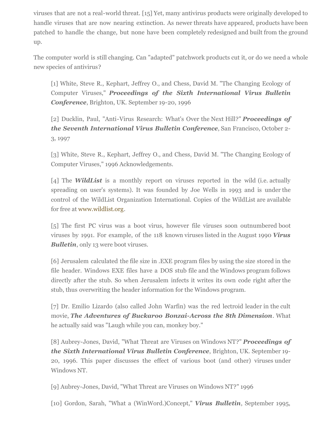viruses that are not a real-world threat. [15] Yet, many antivirus products were originally developed to handle viruses that are now nearing extinction. As newer threats have appeared, products have been patched to handle the change, but none have been completely redesigned and built from the ground up.

The computer world is still changing. Can "adapted" patchwork products cut it, or do we need a whole new species of antivirus?

[1] White, Steve R., Kephart, Jeffrey O., and Chess, David M. "The Changing Ecology of Computer Viruses," *Proceedings of the Sixth International Virus Bulletin Conference*, Brighton, UK. September 19-20, 1996

[2] Ducklin, Paul, "Anti-Virus Research: What's Over the Next Hill?" *Proceedings of the Seventh International Virus Bulletin Conference*, San Francisco, October 2- 3, 1997

[3] White, Steve R., Kephart, Jeffrey O., and Chess, David M. "The Changing Ecology of Computer Viruses," 1996 Acknowledgements.

[4] The *WildList* is a monthly report on viruses reported in the wild (i.e. actually spreading on user's systems). It was founded by Joe Wells in 1993 and is under the control of the WildList Organization International. Copies of the WildList are available for free at [www.wildlist.org](http://www.wildlist.org/).

[5] The first PC virus was a boot virus, however file viruses soon outnumbered boot viruses by 1991. For example, of the 118 known viruses listed in the August 1990 *Virus Bulletin*, only 13 were boot viruses.

[6] Jerusalem calculated the file size in .EXE program files by using the size stored in the file header. Windows EXE files have a DOS stub file and the Windows program follows directly after the stub. So when Jerusalem infects it writes its own code right after the stub, thus overwriting the header information for the Windows program.

[7] Dr. Emilio Lizardo (also called John Warfin) was the red lectroid leader in the cult movie, *The Adventures of Buckaroo Bonzai-Across the 8th Dimension*. What he actually said was "Laugh while you can, monkey boy."

[8] Aubrey-Jones, David, "What Threat are Viruses on Windows NT?" *Proceedings of the Sixth International Virus Bulletin Conference*, Brighton, UK. September 19- 20, 1996. This paper discusses the effect of various boot (and other) viruses under Windows NT.

[9] Aubrey-Jones, David, "What Threat are Viruses on Windows NT?" 1996

[10] Gordon, Sarah, "What a (WinWord.)Concept," *Virus Bulletin*, September 1995,